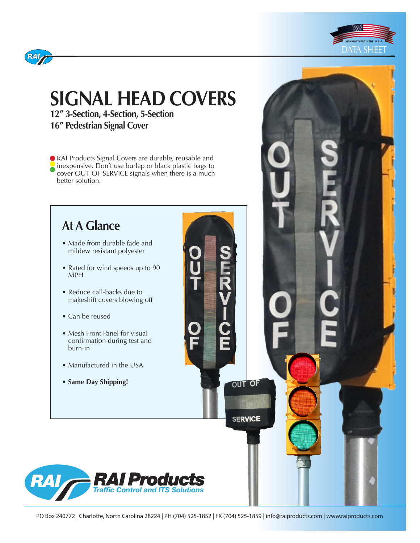



# **SIGNAL HEAD COVERS**

**12" 3-Section, 4-Section, 5-Section 16" Pedestrian Signal Cover**

RAI Products Signal Covers are durable, reusable and inexpensive. Don't use burlap or black plastic bags to cover OUT OF SERVICE signals when there is a much better solution.